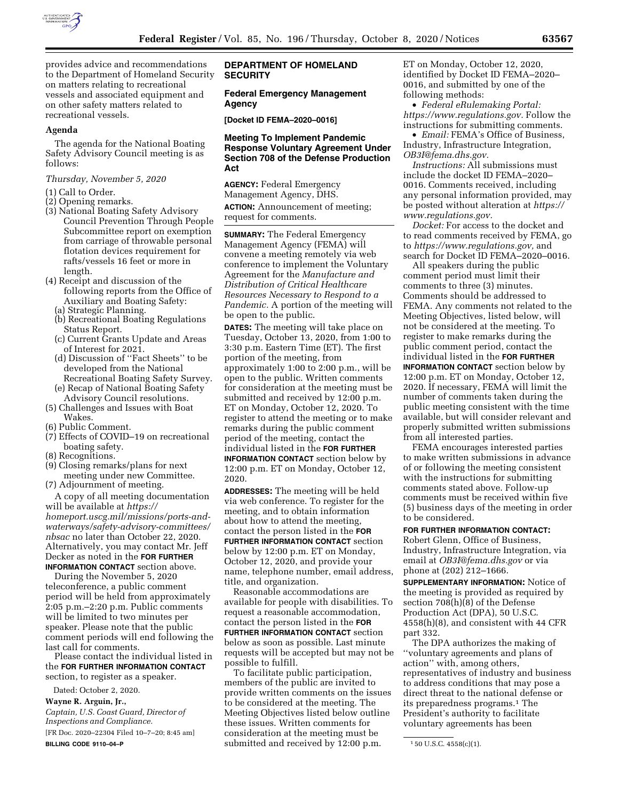

provides advice and recommendations to the Department of Homeland Security on matters relating to recreational vessels and associated equipment and on other safety matters related to recreational vessels.

#### **Agenda**

The agenda for the National Boating Safety Advisory Council meeting is as follows:

### *Thursday, November 5, 2020*

(1) Call to Order.

- (2) Opening remarks.
- (3) National Boating Safety Advisory Council Prevention Through People Subcommittee report on exemption from carriage of throwable personal flotation devices requirement for rafts/vessels 16 feet or more in length.
- (4) Receipt and discussion of the following reports from the Office of Auxiliary and Boating Safety:
	- (a) Strategic Planning.
	- (b) Recreational Boating Regulations Status Report.
	- (c) Current Grants Update and Areas of Interest for 2021.
	- (d) Discussion of ''Fact Sheets'' to be developed from the National Recreational Boating Safety Survey.
	- (e) Recap of National Boating Safety Advisory Council resolutions.
- (5) Challenges and Issues with Boat Wakes.
- (6) Public Comment.
- (7) Effects of COVID–19 on recreational boating safety.
- (8) Recognitions.
- (9) Closing remarks/plans for next meeting under new Committee.
- (7) Adjournment of meeting. A copy of all meeting documentation

will be available at *[https://](https://homeport.uscg.mil/missions/ports-and-waterways/safety-advisory-committees/nbsac) [homeport.uscg.mil/missions/ports-and](https://homeport.uscg.mil/missions/ports-and-waterways/safety-advisory-committees/nbsac)[waterways/safety-advisory-committees/](https://homeport.uscg.mil/missions/ports-and-waterways/safety-advisory-committees/nbsac) [nbsac](https://homeport.uscg.mil/missions/ports-and-waterways/safety-advisory-committees/nbsac)* no later than October 22, 2020. Alternatively, you may contact Mr. Jeff Decker as noted in the **FOR FURTHER INFORMATION CONTACT** section above.

During the November 5, 2020 teleconference, a public comment period will be held from approximately 2:05 p.m.–2:20 p.m. Public comments will be limited to two minutes per speaker. Please note that the public comment periods will end following the last call for comments.

Please contact the individual listed in the **FOR FURTHER INFORMATION CONTACT** section, to register as a speaker.

Dated: October 2, 2020.

**Wayne R. Arguin, Jr.,** 

*Captain, U.S. Coast Guard, Director of Inspections and Compliance.*  [FR Doc. 2020–22304 Filed 10–7–20; 8:45 am] **BILLING CODE 9110–04–P** 

### **DEPARTMENT OF HOMELAND SECURITY**

### **Federal Emergency Management Agency**

**[Docket ID FEMA–2020–0016]** 

## **Meeting To Implement Pandemic Response Voluntary Agreement Under Section 708 of the Defense Production Act**

**AGENCY:** Federal Emergency Management Agency, DHS. **ACTION:** Announcement of meeting; request for comments.

**SUMMARY:** The Federal Emergency Management Agency (FEMA) will convene a meeting remotely via web conference to implement the Voluntary Agreement for the *Manufacture and Distribution of Critical Healthcare Resources Necessary to Respond to a Pandemic.* A portion of the meeting will be open to the public.

**DATES:** The meeting will take place on Tuesday, October 13, 2020, from 1:00 to 3:30 p.m. Eastern Time (ET). The first portion of the meeting, from approximately 1:00 to 2:00 p.m., will be open to the public. Written comments for consideration at the meeting must be submitted and received by 12:00 p.m. ET on Monday, October 12, 2020. To register to attend the meeting or to make remarks during the public comment period of the meeting, contact the individual listed in the **FOR FURTHER INFORMATION CONTACT** section below by 12:00 p.m. ET on Monday, October 12, 2020.

**ADDRESSES:** The meeting will be held via web conference. To register for the meeting, and to obtain information about how to attend the meeting, contact the person listed in the **FOR FURTHER INFORMATION CONTACT** section below by 12:00 p.m. ET on Monday, October 12, 2020, and provide your name, telephone number, email address, title, and organization.

Reasonable accommodations are available for people with disabilities. To request a reasonable accommodation, contact the person listed in the **FOR FURTHER INFORMATION CONTACT** section below as soon as possible. Last minute requests will be accepted but may not be possible to fulfill.

To facilitate public participation, members of the public are invited to provide written comments on the issues to be considered at the meeting. The Meeting Objectives listed below outline these issues. Written comments for consideration at the meeting must be submitted and received by 12:00 p.m.

ET on Monday, October 12, 2020, identified by Docket ID FEMA–2020– 0016, and submitted by one of the following methods:

• *Federal eRulemaking Portal: [https://www.regulations.gov.](https://www.regulations.gov)* Follow the instructions for submitting comments.

• *Email:* FEMA's Office of Business, Industry, Infrastructure Integration, *[OB3I@fema.dhs.gov.](mailto:OB3I@fema.dhs.gov)* 

*Instructions:* All submissions must include the docket ID FEMA–2020– 0016. Comments received, including any personal information provided, may be posted without alteration at *[https://](https://www.regulations.gov) [www.regulations.gov.](https://www.regulations.gov)* 

*Docket:* For access to the docket and to read comments received by FEMA, go to *[https://www.regulations.gov,](https://www.regulations.gov)* and search for Docket ID FEMA–2020–0016.

All speakers during the public comment period must limit their comments to three (3) minutes. Comments should be addressed to FEMA. Any comments not related to the Meeting Objectives, listed below, will not be considered at the meeting. To register to make remarks during the public comment period, contact the individual listed in the **FOR FURTHER INFORMATION CONTACT** section below by 12:00 p.m. ET on Monday, October 12, 2020. If necessary, FEMA will limit the number of comments taken during the public meeting consistent with the time available, but will consider relevant and properly submitted written submissions from all interested parties.

FEMA encourages interested parties to make written submissions in advance of or following the meeting consistent with the instructions for submitting comments stated above. Follow-up comments must be received within five (5) business days of the meeting in order to be considered.

#### **FOR FURTHER INFORMATION CONTACT:**

Robert Glenn, Office of Business, Industry, Infrastructure Integration, via email at *[OB3I@fema.dhs.gov](mailto:OB3I@fema.dhs.gov)* or via phone at (202) 212–1666.

**SUPPLEMENTARY INFORMATION:** Notice of the meeting is provided as required by section 708(h)(8) of the Defense Production Act (DPA), 50 U.S.C. 4558(h)(8), and consistent with 44 CFR part 332.

The DPA authorizes the making of ''voluntary agreements and plans of action'' with, among others, representatives of industry and business to address conditions that may pose a direct threat to the national defense or its preparedness programs.1 The President's authority to facilitate voluntary agreements has been

<sup>1</sup> 50 U.S.C. 4558(c)(1).